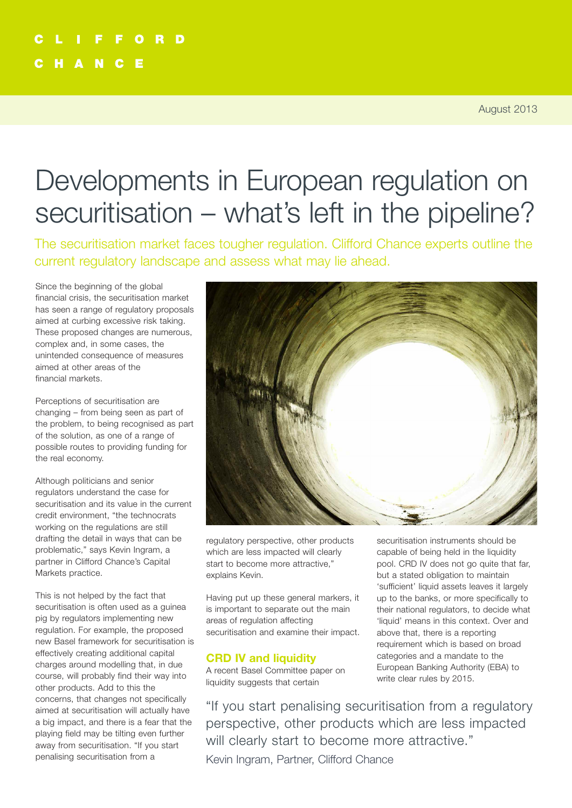# Developments in European regulation on securitisation – what's left in the pipeline?

The securitisation market faces tougher regulation. Clifford Chance experts outline the current regulatory landscape and assess what may lie ahead.

Since the beginning of the global financial crisis, the securitisation market has seen a range of regulatory proposals aimed at curbing excessive risk taking. These proposed changes are numerous, complex and, in some cases, the unintended consequence of measures aimed at other areas of the financial markets.

Perceptions of securitisation are changing – from being seen as part of the problem, to being recognised as part of the solution, as one of a range of possible routes to providing funding for the real economy.

Although politicians and senior regulators understand the case for securitisation and its value in the current credit environment, "the technocrats working on the regulations are still drafting the detail in ways that can be problematic," says Kevin Ingram, a partner in Clifford Chance's Capital Markets practice.

This is not helped by the fact that securitisation is often used as a guinea pig by regulators implementing new regulation. For example, the proposed new Basel framework for securitisation is effectively creating additional capital charges around modelling that, in due course, will probably find their way into other products. Add to this the concerns, that changes not specifically aimed at securitisation will actually have a big impact, and there is a fear that the playing field may be tilting even further away from securitisation. "If you start penalising securitisation from a



regulatory perspective, other products which are less impacted will clearly start to become more attractive," explains Kevin.

Having put up these general markers, it is important to separate out the main areas of regulation affecting securitisation and examine their impact.

#### **CRD IV and liquidity**

A recent Basel Committee paper on liquidity suggests that certain

securitisation instruments should be capable of being held in the liquidity pool. CRD IV does not go quite that far, but a stated obligation to maintain 'sufficient' liquid assets leaves it largely up to the banks, or more specifically to their national regulators, to decide what 'liquid' means in this context. Over and above that, there is a reporting requirement which is based on broad categories and a mandate to the European Banking Authority (EBA) to write clear rules by 2015.

"If you start penalising securitisation from a regulatory perspective, other products which are less impacted will clearly start to become more attractive." Kevin Ingram, Partner, Clifford Chance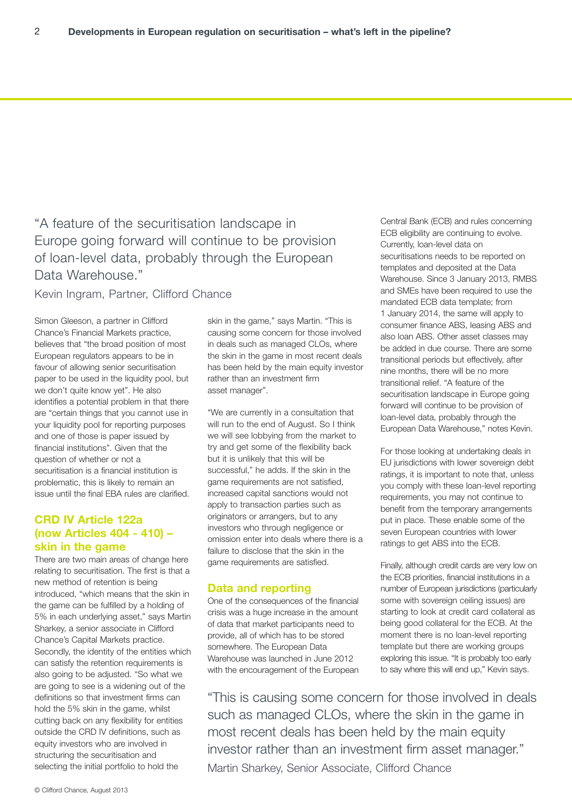### "A feature of the securitisation landscape in Europe going forward will continue to be provision of loan-level data, probably through the European Data Warehouse."

#### Kevin Ingram, Partner, Clifford Chance

Simon Gleeson, a partner in Clifford Chance's Financial Markets practice, believes that "the broad position of most European regulators appears to be in favour of allowing senior securitisation paper to be used in the liquidity pool, but we don't quite know yet". He also identifies a potential problem in that there are "certain things that you cannot use in your liquidity pool for reporting purposes and one of those is paper issued by financial institutions". Given that the question of whether or not a securitisation is a financial institution is problematic, this is likely to remain an issue until the final EBA rules are clarified.

#### **CRD IV Article 122a (now Articles 404 - 410) – skin in the game**

There are two main areas of change here relating to securitisation. The first is that a new method of retention is being introduced, "which means that the skin in the game can be fulfilled by a holding of 5% in each underlying asset," says Martin Sharkey, a senior associate in Clifford Chance's Capital Markets practice. Secondly, the identity of the entities which can satisfy the retention requirements is also going to be adjusted. "So what we are going to see is a widening out of the definitions so that investment firms can hold the 5% skin in the game, whilst cutting back on any flexibility for entities outside the CRD IV definitions, such as equity investors who are involved in structuring the securitisation and selecting the initial portfolio to hold the

skin in the game," says Martin. "This is causing some concern for those involved in deals such as managed CLOs, where the skin in the game in most recent deals has been held by the main equity investor rather than an investment firm asset manager".

"We are currently in a consultation that will run to the end of August. So I think we will see lobbying from the market to try and get some of the flexibility back but it is unlikely that this will be successful," he adds. If the skin in the game requirements are not satisfied, increased capital sanctions would not apply to transaction parties such as originators or arrangers, but to any investors who through negligence or omission enter into deals where there is a failure to disclose that the skin in the game requirements are satisfied.

#### **Data and reporting**

One of the consequences of the financial crisis was a huge increase in the amount of data that market participants need to provide, all of which has to be stored somewhere. The European Data Warehouse was launched in June 2012 with the encouragement of the European

Central Bank (ECB) and rules concerning ECB eligibility are continuing to evolve. Currently, loan-level data on securitisations needs to be reported on templates and deposited at the Data Warehouse. Since 3 January 2013, RMBS and SMEs have been required to use the mandated ECB data template; from 1 January 2014, the same will apply to consumer finance ABS, leasing ABS and also loan ABS. Other asset classes may be added in due course. There are some transitional periods but effectively, after nine months, there will be no more transitional relief. "A feature of the securitisation landscape in Europe going forward will continue to be provision of loan-level data, probably through the European Data Warehouse," notes Kevin.

For those looking at undertaking deals in EU jurisdictions with lower sovereign debt ratings, it is important to note that, unless you comply with these loan-level reporting requirements, you may not continue to benefit from the temporary arrangements put in place. These enable some of the seven European countries with lower ratings to get ABS into the ECB.

Finally, although credit cards are very low on the ECB priorities, financial institutions in a number of European jurisdictions (particularly some with sovereign ceiling issues) are starting to look at credit card collateral as being good collateral for the ECB. At the moment there is no loan-level reporting template but there are working groups exploring this issue. "It is probably too early to say where this will end up," Kevin says.

"This is causing some concern for those involved in deals such as managed CLOs, where the skin in the game in most recent deals has been held by the main equity investor rather than an investment firm asset manager." Martin Sharkey, Senior Associate, Clifford Chance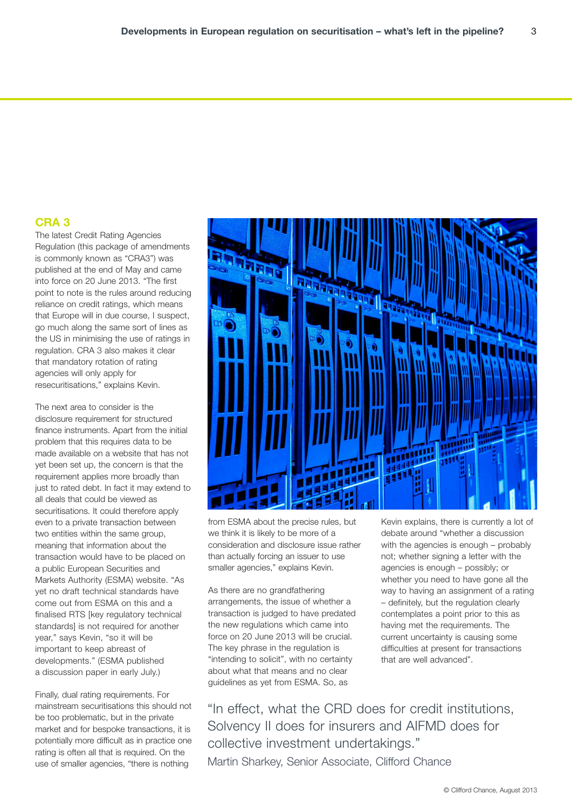#### **CRA 3**

The latest Credit Rating Agencies Regulation (this package of amendments is commonly known as "CRA3") was published at the end of May and came into force on 20 June 2013. "The first point to note is the rules around reducing reliance on credit ratings, which means that Europe will in due course, I suspect, go much along the same sort of lines as the US in minimising the use of ratings in regulation. CRA 3 also makes it clear that mandatory rotation of rating agencies will only apply for resecuritisations," explains Kevin.

The next area to consider is the disclosure requirement for structured finance instruments. Apart from the initial problem that this requires data to be made available on a website that has not yet been set up, the concern is that the requirement applies more broadly than just to rated debt. In fact it may extend to all deals that could be viewed as securitisations. It could therefore apply even to a private transaction between two entities within the same group. meaning that information about the transaction would have to be placed on a public European Securities and Markets Authority (ESMA) website. "As yet no draft technical standards have come out from ESMA on this and a finalised RTS [key regulatory technical standards] is not required for another year," says Kevin, "so it will be important to keep abreast of developments." (ESMA published a discussion paper in early July.)

Finally, dual rating requirements. For mainstream securitisations this should not be too problematic, but in the private market and for bespoke transactions, it is potentially more difficult as in practice one rating is often all that is required. On the use of smaller agencies, "there is nothing



from ESMA about the precise rules, but we think it is likely to be more of a consideration and disclosure issue rather than actually forcing an issuer to use smaller agencies," explains Kevin.

As there are no grandfathering arrangements, the issue of whether a transaction is judged to have predated the new regulations which came into force on 20 June 2013 will be crucial. The key phrase in the regulation is "intending to solicit", with no certainty about what that means and no clear guidelines as yet from ESMA. So, as

Kevin explains, there is currently a lot of debate around "whether a discussion with the agencies is enough – probably not; whether signing a letter with the agencies is enough – possibly; or whether you need to have gone all the way to having an assignment of a rating – definitely, but the regulation clearly contemplates a point prior to this as having met the requirements. The current uncertainty is causing some difficulties at present for transactions that are well advanced".

"In effect, what the CRD does for credit institutions, Solvency II does for insurers and AIFMD does for collective investment undertakings." Martin Sharkey, Senior Associate, Clifford Chance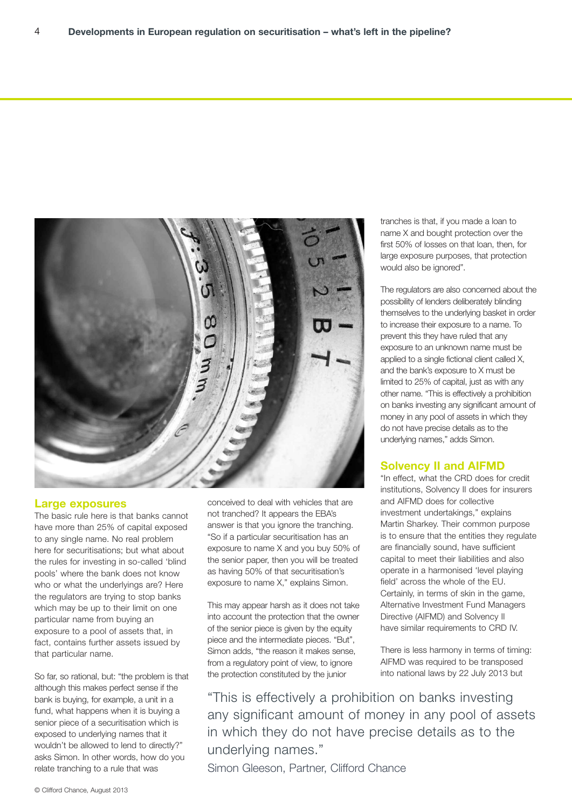

#### **Large exposures**

The basic rule here is that banks cannot have more than 25% of capital exposed to any single name. No real problem here for securitisations; but what about the rules for investing in so-called 'blind pools' where the bank does not know who or what the underlyings are? Here the regulators are trying to stop banks which may be up to their limit on one particular name from buying an exposure to a pool of assets that, in fact, contains further assets issued by that particular name.

So far, so rational, but: "the problem is that although this makes perfect sense if the bank is buying, for example, a unit in a fund, what happens when it is buying a senior piece of a securitisation which is exposed to underlying names that it wouldn't be allowed to lend to directly?" asks Simon. In other words, how do you relate tranching to a rule that was

conceived to deal with vehicles that are not tranched? It appears the EBA's answer is that you ignore the tranching. "So if a particular securitisation has an exposure to name X and you buy 50% of the senior paper, then you will be treated as having 50% of that securitisation's exposure to name X," explains Simon.

This may appear harsh as it does not take into account the protection that the owner of the senior piece is given by the equity piece and the intermediate pieces. "But", Simon adds, "the reason it makes sense, from a regulatory point of view, to ignore the protection constituted by the junior

tranches is that, if you made a loan to name X and bought protection over the first 50% of losses on that loan, then, for large exposure purposes, that protection would also be ignored".

The regulators are also concerned about the possibility of lenders deliberately blinding themselves to the underlying basket in order to increase their exposure to a name. To prevent this they have ruled that any exposure to an unknown name must be applied to a single fictional client called X, and the bank's exposure to X must be limited to 25% of capital, just as with any other name. "This is effectively a prohibition on banks investing any significant amount of money in any pool of assets in which they do not have precise details as to the underlying names," adds Simon.

#### **Solvency II and AIFMD**

"In effect, what the CRD does for credit institutions, Solvency II does for insurers and AIFMD does for collective investment undertakings," explains Martin Sharkey. Their common purpose is to ensure that the entities they regulate are financially sound, have sufficient capital to meet their liabilities and also operate in a harmonised 'level playing field' across the whole of the EU. Certainly, in terms of skin in the game, Alternative Investment Fund Managers Directive (AIFMD) and Solvency II have similar requirements to CRD IV.

There is less harmony in terms of timing: AIFMD was required to be transposed into national laws by 22 July 2013 but

"This is effectively a prohibition on banks investing any significant amount of money in any pool of assets in which they do not have precise details as to the underlying names."

Simon Gleeson, Partner, Clifford Chance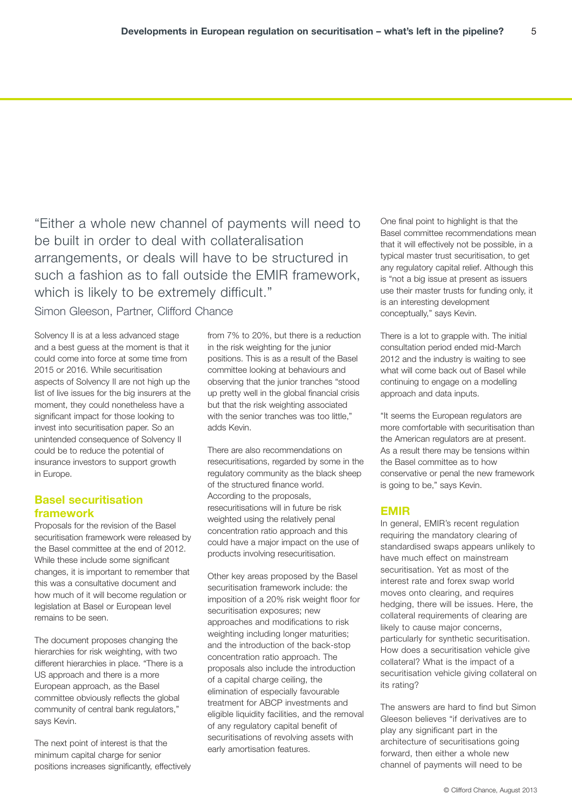"Either a whole new channel of payments will need to be built in order to deal with collateralisation arrangements, or deals will have to be structured in such a fashion as to fall outside the EMIR framework, which is likely to be extremely difficult."

Simon Gleeson, Partner, Clifford Chance

Solvency II is at a less advanced stage and a best guess at the moment is that it could come into force at some time from 2015 or 2016. While securitisation aspects of Solvency II are not high up the list of live issues for the big insurers at the moment, they could nonetheless have a significant impact for those looking to invest into securitisation paper. So an unintended consequence of Solvency II could be to reduce the potential of insurance investors to support growth in Europe.

#### **Basel securitisation framework**

Proposals for the revision of the Basel securitisation framework were released by the Basel committee at the end of 2012. While these include some significant changes, it is important to remember that this was a consultative document and how much of it will become regulation or legislation at Basel or European level remains to be seen.

The document proposes changing the hierarchies for risk weighting, with two different hierarchies in place. "There is a US approach and there is a more European approach, as the Basel committee obviously reflects the global community of central bank regulators," says Kevin.

The next point of interest is that the minimum capital charge for senior positions increases significantly, effectively

from 7% to 20%, but there is a reduction in the risk weighting for the junior positions. This is as a result of the Basel committee looking at behaviours and observing that the junior tranches "stood up pretty well in the global financial crisis but that the risk weighting associated with the senior tranches was too little." adds Kevin.

There are also recommendations on resecuritisations, regarded by some in the regulatory community as the black sheep of the structured finance world. According to the proposals, resecuritisations will in future be risk weighted using the relatively penal concentration ratio approach and this could have a major impact on the use of products involving resecuritisation.

Other key areas proposed by the Basel securitisation framework include: the imposition of a 20% risk weight floor for securitisation exposures; new approaches and modifications to risk weighting including longer maturities; and the introduction of the back-stop concentration ratio approach. The proposals also include the introduction of a capital charge ceiling, the elimination of especially favourable treatment for ABCP investments and eligible liquidity facilities, and the removal of any regulatory capital benefit of securitisations of revolving assets with early amortisation features.

One final point to highlight is that the Basel committee recommendations mean that it will effectively not be possible, in a typical master trust securitisation, to get any regulatory capital relief. Although this is "not a big issue at present as issuers use their master trusts for funding only, it is an interesting development conceptually," says Kevin.

5

There is a lot to grapple with. The initial consultation period ended mid-March 2012 and the industry is waiting to see what will come back out of Basel while continuing to engage on a modelling approach and data inputs.

"It seems the European regulators are more comfortable with securitisation than the American regulators are at present. As a result there may be tensions within the Basel committee as to how conservative or penal the new framework is going to be," says Kevin.

#### **EMIR**

In general, EMIR's recent regulation requiring the mandatory clearing of standardised swaps appears unlikely to have much effect on mainstream securitisation. Yet as most of the interest rate and forex swap world moves onto clearing, and requires hedging, there will be issues. Here, the collateral requirements of clearing are likely to cause major concerns, particularly for synthetic securitisation. How does a securitisation vehicle give collateral? What is the impact of a securitisation vehicle giving collateral on its rating?

The answers are hard to find but Simon Gleeson believes "if derivatives are to play any significant part in the architecture of securitisations going forward, then either a whole new channel of payments will need to be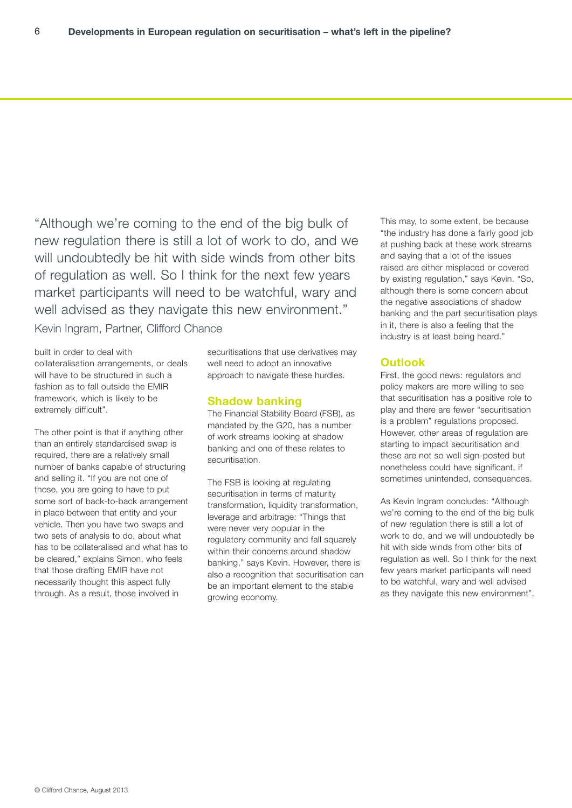"Although we're coming to the end of the big bulk of new regulation there is still a lot of work to do, and we will undoubtedly be hit with side winds from other bits of regulation as well. So I think for the next few years market participants will need to be watchful, wary and well advised as they navigate this new environment." Kevin Ingram, Partner, Clifford Chance

built in order to deal with collateralisation arrangements, or deals will have to be structured in such a fashion as to fall outside the EMIR framework, which is likely to be extremely difficult".

The other point is that if anything other than an entirely standardised swap is required, there are a relatively small number of banks capable of structuring and selling it. "If you are not one of those, you are going to have to put some sort of back-to-back arrangement in place between that entity and your vehicle. Then you have two swaps and two sets of analysis to do, about what has to be collateralised and what has to be cleared," explains Simon, who feels that those drafting EMIR have not necessarily thought this aspect fully through. As a result, those involved in

securitisations that use derivatives may well need to adopt an innovative approach to navigate these hurdles.

#### **Shadow banking**

The Financial Stability Board (FSB), as mandated by the G20, has a number of work streams looking at shadow banking and one of these relates to securitisation.

The FSB is looking at regulating securitisation in terms of maturity transformation, liquidity transformation, leverage and arbitrage: "Things that were never very popular in the regulatory community and fall squarely within their concerns around shadow banking," says Kevin. However, there is also a recognition that securitisation can be an important element to the stable growing economy.

This may, to some extent, be because "the industry has done a fairly good job at pushing back at these work streams and saying that a lot of the issues raised are either misplaced or covered by existing regulation," says Kevin. "So, although there is some concern about the negative associations of shadow banking and the part securitisation plays in it, there is also a feeling that the industry is at least being heard."

#### **Outlook**

First, the good news: regulators and policy makers are more willing to see that securitisation has a positive role to play and there are fewer "securitisation is a problem" regulations proposed. However, other areas of regulation are starting to impact securitisation and these are not so well sign-posted but nonetheless could have significant, if sometimes unintended, consequences.

As Kevin Ingram concludes: "Although we're coming to the end of the big bulk of new regulation there is still a lot of work to do, and we will undoubtedly be hit with side winds from other bits of regulation as well. So I think for the next few years market participants will need to be watchful, wary and well advised as they navigate this new environment".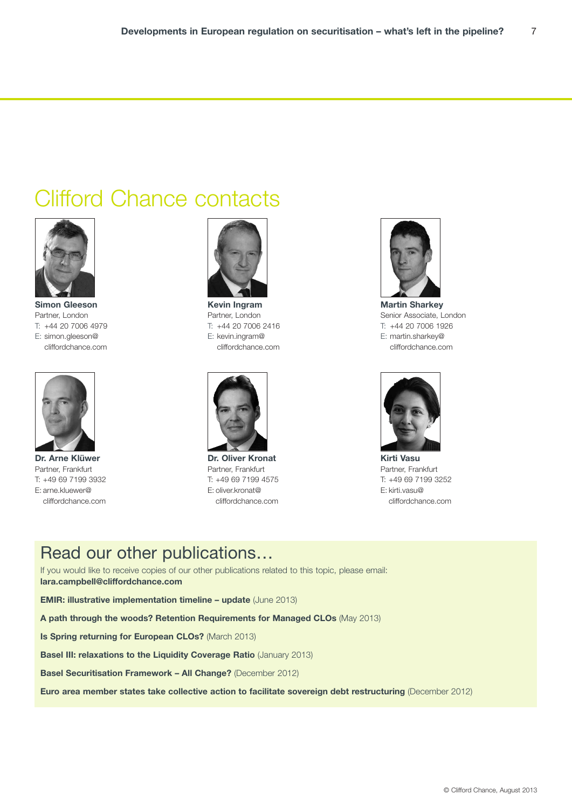# Clifford Chance contacts



**Simon Gleeson** Partner, London T: +44 20 7006 4979 E: simon.gleeson@ cliffordchance.com



**Dr. Arne Klüwer** Partner, Frankfurt T: +49 69 7199 3932 E: arne.kluewer@ cliffordchance.com



**Kevin Ingram** Partner, London T: +44 20 7006 2416 E: kevin.ingram@ cliffordchance.com



**Dr. Oliver Kronat** Partner, Frankfurt T: +49 69 7199 4575 E: oliver.kronat@ cliffordchance.com



**Martin Sharkey** Senior Associate, London T: +44 20 7006 1926 E: martin.sharkey@ cliffordchance.com



**Kirti Vasu** Partner, Frankfurt T: +49 69 7199 3252 E: kirti.vasu@ cliffordchance.com

## Read our other publications…

If you would like to receive copies of our other publications related to this topic, please email: **lara.campbell@cliffordchance.com**

**EMIR: illustrative implementation timeline – update** (June 2013)

**A path through the woods? Retention Requirements for Managed CLOs** (May 2013)

**Is Spring returning for European CLOs?** (March 2013)

**Basel III: relaxations to the Liquidity Coverage Ratio** (January 2013)

**Basel Securitisation Framework – All Change?** (December 2012)

**Euro area member states take collective action to facilitate sovereign debt restructuring** (December 2012)